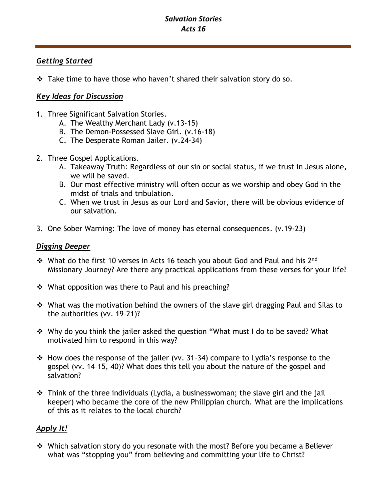# *Salvation Stories Acts 16*

## *Getting Started*

❖ Take time to have those who haven't shared their salvation story do so.

## *Key Ideas for Discussion*

- 1. Three Significant Salvation Stories.
	- A. The Wealthy Merchant Lady (v.13-15)
	- B. The Demon-Possessed Slave Girl. (v.16-18)
	- C. The Desperate Roman Jailer. (v.24-34)
- 2. Three Gospel Applications.
	- A. Takeaway Truth: Regardless of our sin or social status, if we trust in Jesus alone, we will be saved.
	- B. Our most effective ministry will often occur as we worship and obey God in the midst of trials and tribulation.
	- C. When we trust in Jesus as our Lord and Savior, there will be obvious evidence of our salvation.
- 3. One Sober Warning: The love of money has eternal consequences. (v.19-23)

### *Digging Deeper*

- ❖ What do the first 10 verses in Acts 16 teach you about God and Paul and his 2nd Missionary Journey? Are there any practical applications from these verses for your life?
- ❖ What opposition was there to Paul and his preaching?
- ❖ What was the motivation behind the owners of the slave girl dragging Paul and Silas to the authorities (vv. 19–21)?
- ❖ Why do you think the jailer asked the question "What must I do to be saved? What motivated him to respond in this way?
- ❖ How does the response of the jailer (vv. 31–34) compare to Lydia's response to the gospel (vv. 14–15, 40)? What does this tell you about the nature of the gospel and salvation?
- ❖ Think of the three individuals (Lydia, a businesswoman; the slave girl and the jail keeper) who became the core of the new Philippian church. What are the implications of this as it relates to the local church?

## *Apply It!*

❖ Which salvation story do you resonate with the most? Before you became a Believer what was "stopping you" from believing and committing your life to Christ?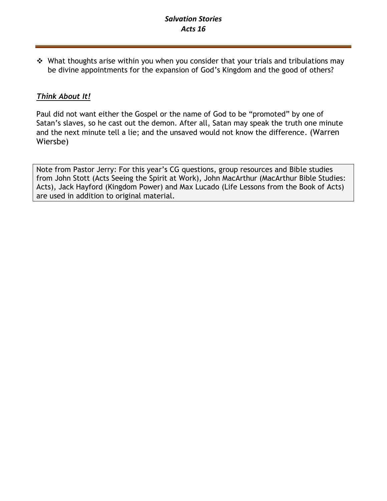# *Salvation Stories Acts 16*

❖ What thoughts arise within you when you consider that your trials and tribulations may be divine appointments for the expansion of God's Kingdom and the good of others?

## *Think About It!*

Paul did not want either the Gospel or the name of God to be "promoted" by one of Satan's slaves, so he cast out the demon. After all, Satan may speak the truth one minute and the next minute tell a lie; and the unsaved would not know the difference. (Warren Wiersbe)

Note from Pastor Jerry: For this year's CG questions, group resources and Bible studies from John Stott (Acts Seeing the Spirit at Work), John MacArthur (MacArthur Bible Studies: Acts), Jack Hayford (Kingdom Power) and Max Lucado (Life Lessons from the Book of Acts) are used in addition to original material.